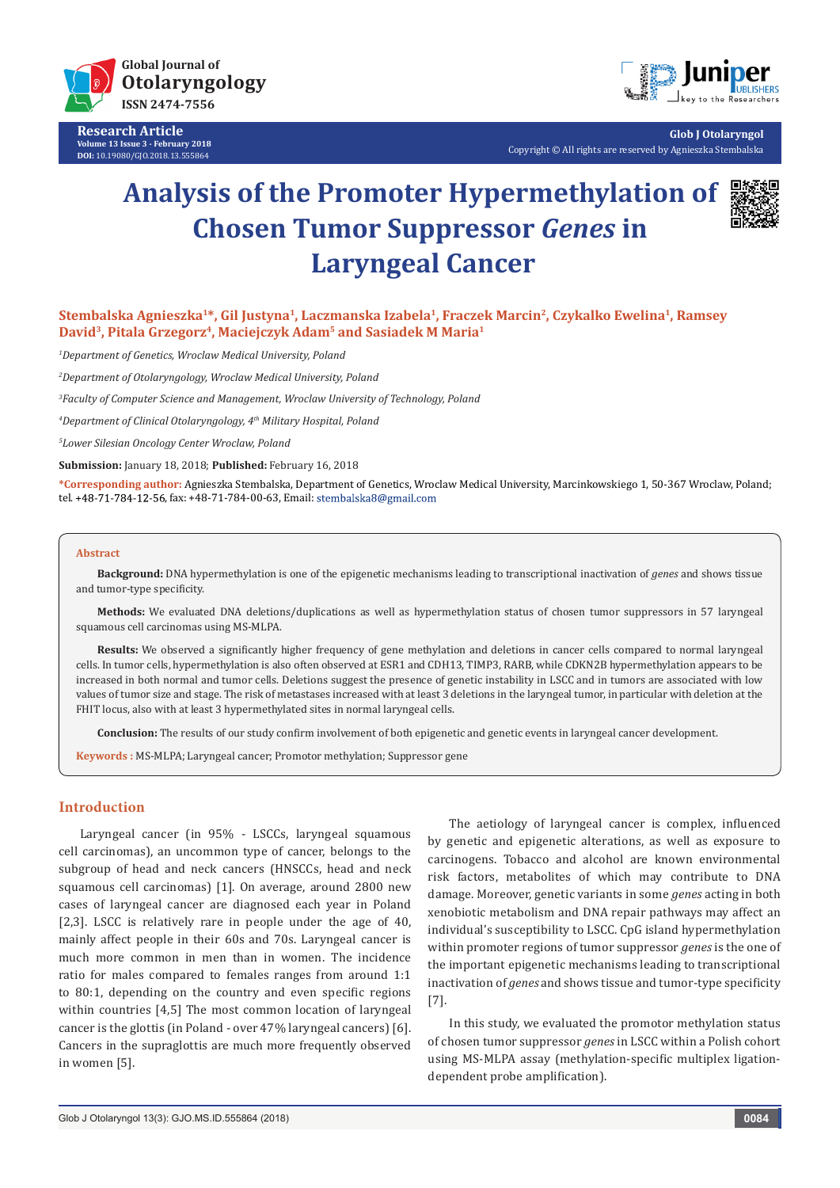

**Research Article Volume 13 Issue 3 - February 2018 DOI:** [10.19080/GJO.2018.13.555864](http://dx.doi.org/10.19080/GJO.2018.13.555864)



**Glob J Otolaryngol** Copyright © All rights are reserved by Agnieszka Stembalska

# **Analysis of the Promoter Hypermethylation of Chosen Tumor Suppressor** *Genes* **in Laryngeal Cancer**



**Stembalska Agnieszka1\*, Gil Justyna1, Laczmanska Izabela1, Fraczek Marcin2, Czykalko Ewelina1, Ramsey David3, Pitala Grzegorz4, Maciejczyk Adam5 and Sasiadek M Maria1**

*1 Department of Genetics, Wroclaw Medical University, Poland*

*2 Department of Otolaryngology, Wroclaw Medical University, Poland* 

*3 Faculty of Computer Science and Management, Wroclaw University of Technology, Poland*

*4 Department of Clinical Otolaryngology, 4th Military Hospital, Poland*

*5 Lower Silesian Oncology Center Wroclaw, Poland*

**Submission:** January 18, 2018; **Published:** February 16, 2018

**\*Corresponding author:** Agnieszka Stembalska, Department of Genetics, Wroclaw Medical University, Marcinkowskiego 1, 50-367 Wroclaw, Poland; tel. +48-71-784-12-56, fax: +48-71-784-00-63, Email: stembalska8@gmail.com

#### **Abstract**

**Background:** DNA hypermethylation is one of the epigenetic mechanisms leading to transcriptional inactivation of *genes* and shows tissue and tumor-type specificity.

**Methods:** We evaluated DNA deletions/duplications as well as hypermethylation status of chosen tumor suppressors in 57 laryngeal squamous cell carcinomas using MS-MLPA.

**Results:** We observed a significantly higher frequency of gene methylation and deletions in cancer cells compared to normal laryngeal cells. In tumor cells, hypermethylation is also often observed at ESR1 and CDH13, TIMP3, RARB, while CDKN2B hypermethylation appears to be increased in both normal and tumor cells. Deletions suggest the presence of genetic instability in LSCC and in tumors are associated with low values of tumor size and stage. The risk of metastases increased with at least 3 deletions in the laryngeal tumor, in particular with deletion at the FHIT locus, also with at least 3 hypermethylated sites in normal laryngeal cells.

**Conclusion:** The results of our study confirm involvement of both epigenetic and genetic events in laryngeal cancer development.

**Keywords :** MS-MLPA; Laryngeal cancer; Promotor methylation; Suppressor gene

## **Introduction**

Laryngeal cancer (in 95% - LSCCs, laryngeal squamous cell carcinomas), an uncommon type of cancer, belongs to the subgroup of head and neck cancers (HNSCCs, head and neck squamous cell carcinomas) [1]. On average, around 2800 new cases of laryngeal cancer are diagnosed each year in Poland [2,3]. LSCC is relatively rare in people under the age of 40, mainly affect people in their 60s and 70s. Laryngeal cancer is much more common in men than in women. The incidence ratio for males compared to females ranges from around 1:1 to 80:1, depending on the country and even specific regions within countries [4,5] The most common location of laryngeal cancer is the glottis (in Poland - over 47% laryngeal cancers) [6]. Cancers in the supraglottis are much more frequently observed in women [5].

The aetiology of laryngeal cancer is complex, influenced by genetic and epigenetic alterations, as well as exposure to carcinogens. Tobacco and alcohol are known environmental risk factors, metabolites of which may contribute to DNA damage. Moreover, genetic variants in some *genes* acting in both xenobiotic metabolism and DNA repair pathways may affect an individual's susceptibility to LSCC. CpG island hypermethylation within promoter regions of tumor suppressor *genes* is the one of the important epigenetic mechanisms leading to transcriptional inactivation of *genes* and shows tissue and tumor-type specificity [7].

In this study, we evaluated the promotor methylation status of chosen tumor suppressor *genes* in LSCC within a Polish cohort using MS-MLPA assay (methylation-specific multiplex ligationdependent probe amplification).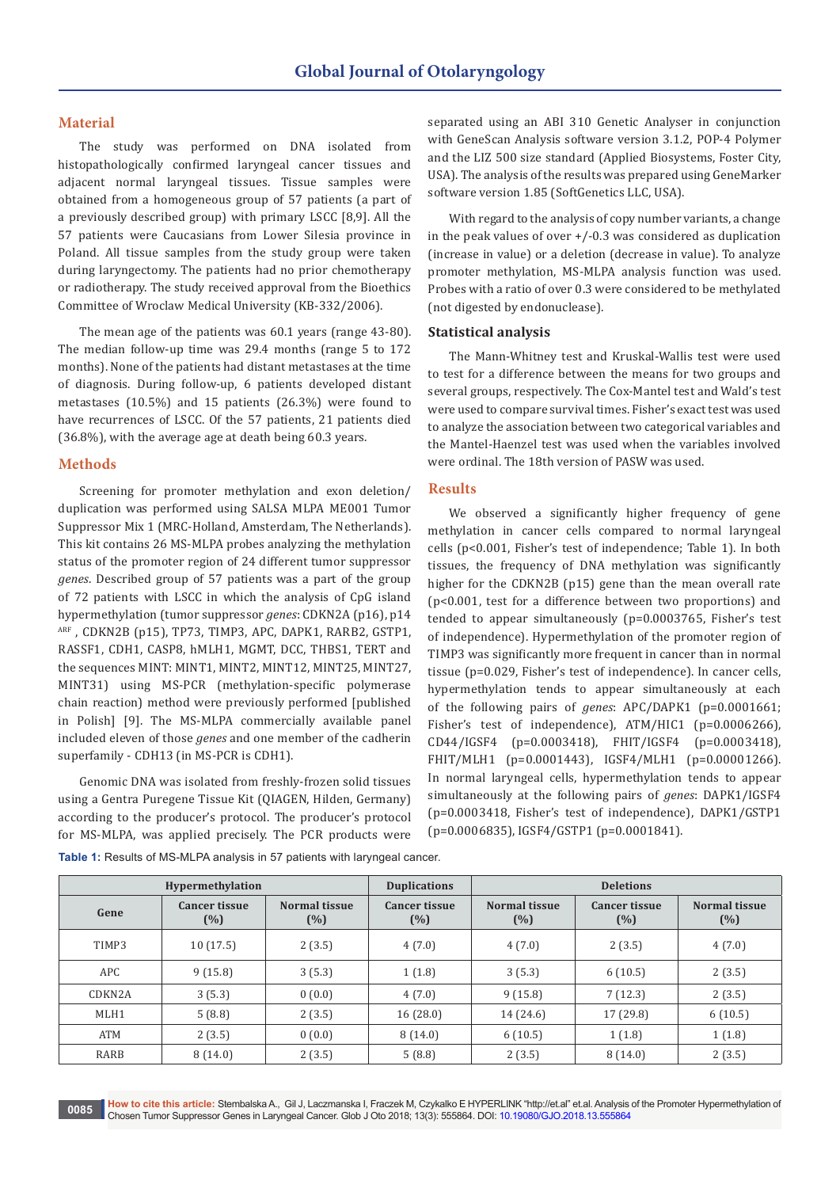## **Material**

The study was performed on DNA isolated from histopathologically confirmed laryngeal cancer tissues and adjacent normal laryngeal tissues. Tissue samples were obtained from a homogeneous group of 57 patients (a part of a previously described group) with primary LSCC [8,9]. All the 57 patients were Caucasians from Lower Silesia province in Poland. All tissue samples from the study group were taken during laryngectomy. The patients had no prior chemotherapy or radiotherapy. The study received approval from the Bioethics Committee of Wroclaw Medical University (KB-332/2006).

The mean age of the patients was 60.1 years (range 43-80). The median follow-up time was 29.4 months (range 5 to 172 months). None of the patients had distant metastases at the time of diagnosis. During follow-up, 6 patients developed distant metastases (10.5%) and 15 patients (26.3%) were found to have recurrences of LSCC. Of the 57 patients, 21 patients died (36.8%), with the average age at death being 60.3 years.

## **Methods**

Screening for promoter methylation and exon deletion/ duplication was performed using SALSA MLPA ME001 Tumor Suppressor Mix 1 (MRC-Holland, Amsterdam, The Netherlands). This kit contains 26 MS-MLPA probes analyzing the methylation status of the promoter region of 24 different tumor suppressor *genes*. Described group of 57 patients was a part of the group of 72 patients with LSCC in which the analysis of CpG island hypermethylation (tumor suppressor *genes*: CDKN2A (p16), p14 ARF , CDKN2B (p15), TP73, TIMP3, APC, DAPK1, RARB2, GSTP1, RASSF1, CDH1, CASP8, hMLH1, MGMT, DCC, THBS1, TERT and the sequences MINT: MINT1, MINT2, MINT12, MINT25, MINT27, MINT31) using MS-PCR (methylation-specific polymerase chain reaction) method were previously performed [published in Polish] [9]. The MS-MLPA commercially available panel included eleven of those *genes* and one member of the cadherin superfamily - CDH13 (in MS-PCR is CDH1).

Genomic DNA was isolated from freshly-frozen solid tissues using a Gentra Puregene Tissue Kit (QIAGEN, Hilden, Germany) according to the producer's protocol. The producer's protocol for MS-MLPA, was applied precisely. The PCR products were

separated using an ABI 310 Genetic Analyser in conjunction with GeneScan Analysis software version 3.1.2, POP-4 Polymer and the LIZ 500 size standard (Applied Biosystems, Foster City, USA). The analysis of the results was prepared using GeneMarker software version 1.85 (SoftGenetics LLC, USA).

With regard to the analysis of copy number variants, a change in the peak values of over +/-0.3 was considered as duplication (increase in value) or a deletion (decrease in value). To analyze promoter methylation, MS-MLPA analysis function was used. Probes with a ratio of over 0.3 were considered to be methylated (not digested by endonuclease).

# **Statistical analysis**

The Mann-Whitney test and Kruskal-Wallis test were used to test for a difference between the means for two groups and several groups, respectively. The Cox-Mantel test and Wald's test were used to compare survival times. Fisher's exact test was used to analyze the association between two categorical variables and the Mantel-Haenzel test was used when the variables involved were ordinal. The 18th version of PASW was used.

## **Results**

We observed a significantly higher frequency of gene methylation in cancer cells compared to normal laryngeal cells (p<0.001, Fisher's test of independence; Table 1). In both tissues, the frequency of DNA methylation was significantly higher for the CDKN2B (p15) gene than the mean overall rate (p<0.001, test for a difference between two proportions) and tended to appear simultaneously (p=0.0003765, Fisher's test of independence). Hypermethylation of the promoter region of TIMP3 was significantly more frequent in cancer than in normal tissue (p=0.029, Fisher's test of independence). In cancer cells, hypermethylation tends to appear simultaneously at each of the following pairs of *genes*: APC/DAPK1 (p=0.0001661; Fisher's test of independence), ATM/HIC1 (p=0.0006266), CD44/IGSF4 (p=0.0003418), FHIT/IGSF4 (p=0.0003418), FHIT/MLH1 (p=0.0001443), IGSF4/MLH1 (p=0.00001266). In normal laryngeal cells, hypermethylation tends to appear simultaneously at the following pairs of *genes*: DAPK1/IGSF4 (p=0.0003418, Fisher's test of independence), DAPK1/GSTP1 (p=0.0006835), IGSF4/GSTP1 (p=0.0001841).

| Hypermethylation    |                             |                      | <b>Duplications</b>         | <b>Deletions</b>               |                             |                      |
|---------------------|-----------------------------|----------------------|-----------------------------|--------------------------------|-----------------------------|----------------------|
| Gene                | <b>Cancer tissue</b><br>(%) | Normal tissue<br>(%) | <b>Cancer tissue</b><br>(%) | <b>Normal tissue</b><br>$(\%)$ | <b>Cancer tissue</b><br>(%) | Normal tissue<br>(%) |
| TIMP3               | 10(17.5)                    | 2(3.5)               | 4(7.0)                      | 4(7.0)                         | 2(3.5)                      | 4(7.0)               |
| <b>APC</b>          | 9(15.8)                     | 3(5.3)               | 1(1.8)                      | 3(5.3)                         | 6(10.5)                     | 2(3.5)               |
| CDKN <sub>2</sub> A | 3(5.3)                      | 0(0.0)               | 4(7.0)                      | 9(15.8)                        | 7(12.3)                     | 2(3.5)               |
| MLH1                | 5(8.8)                      | 2(3.5)               | 16(28.0)                    | 14 (24.6)                      | 17(29.8)                    | 6(10.5)              |
| <b>ATM</b>          | 2(3.5)                      | 0(0.0)               | 8(14.0)                     | 6(10.5)                        | 1(1.8)                      | 1(1.8)               |
| RARB                | 8(14.0)                     | 2(3.5)               | 5(8.8)                      | 2(3.5)                         | 8(14.0)                     | 2(3.5)               |

**Table 1:** Results of MS-MLPA analysis in 57 patients with laryngeal cancer.

**How to cite this article:** Stembalska A., Gil J, Laczmanska I, Fraczek M, Czykalko E HYPERLINK "http://et.al" et.al. Analysis of the Promoter Hypermethylation of Chosen Tumor Suppressor Genes in Laryngeal Cancer. Glob J Oto 2018; 13(3): 555864. DOI: [10.19080/GJO.2018.13.555864](http://dx.doi.org/10.19080/GJO.2018.13.555864) **<sup>0085</sup>**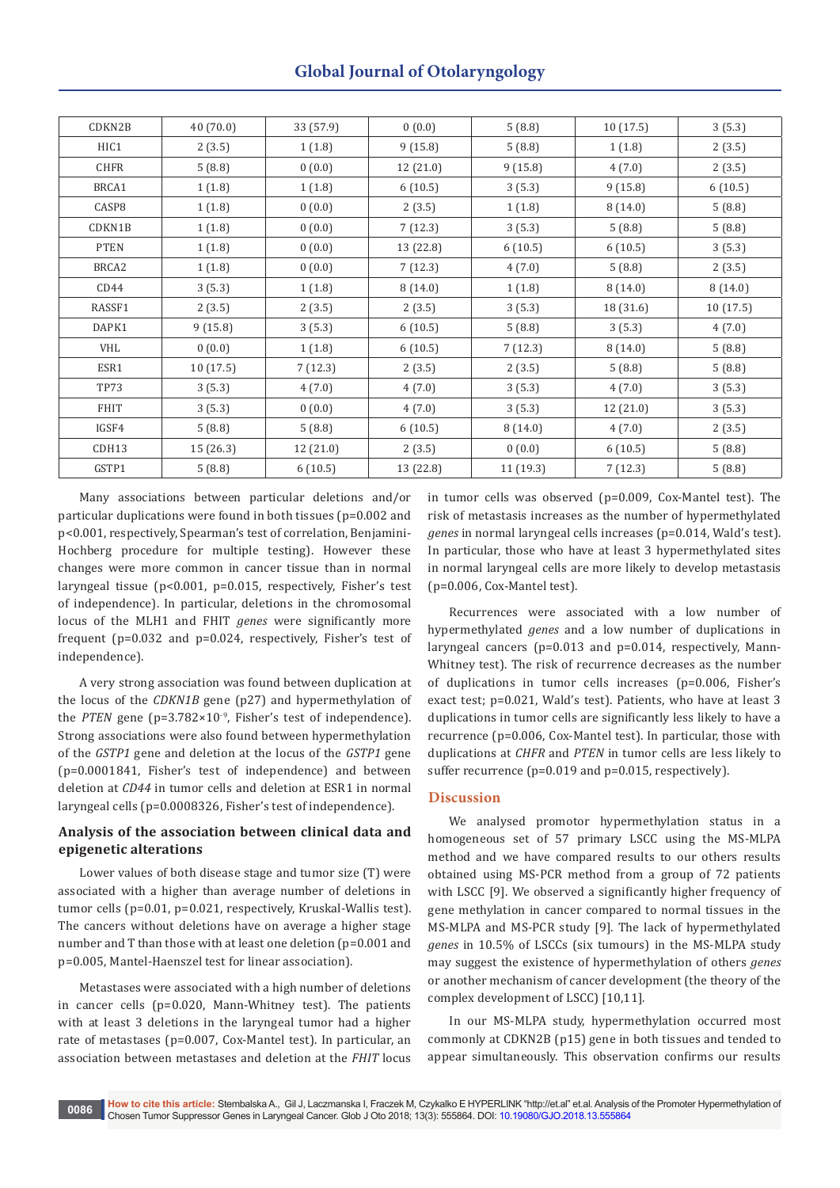# **Global Journal of Otolaryngology**

| CDKN2B      | 40 (70.0) | 33 (57.9) | 0(0.0)    | 5(8.8)   | 10(17.5)  | 3(5.3)    |
|-------------|-----------|-----------|-----------|----------|-----------|-----------|
| HIC1        | 2(3.5)    | 1(1.8)    | 9(15.8)   | 5(8.8)   | 1(1.8)    | 2(3.5)    |
| CHFR        | 5(8.8)    | 0(0.0)    | 12(21.0)  | 9(15.8)  | 4(7.0)    | 2(3.5)    |
| BRCA1       | 1(1.8)    | 1(1.8)    | 6(10.5)   | 3(5.3)   | 9(15.8)   | 6(10.5)   |
| CASP8       | 1(1.8)    | 0(0.0)    | 2(3.5)    | 1(1.8)   | 8(14.0)   | 5(8.8)    |
| CDKN1B      | 1(1.8)    | 0(0.0)    | 7(12.3)   | 3(5.3)   | 5(8.8)    | 5(8.8)    |
| <b>PTEN</b> | 1(1.8)    | 0(0.0)    | 13 (22.8) | 6(10.5)  | 6(10.5)   | 3(5.3)    |
| BRCA2       | 1(1.8)    | 0(0.0)    | 7(12.3)   | 4(7.0)   | 5(8.8)    | 2(3.5)    |
| CD44        | 3(5.3)    | 1(1.8)    | 8(14.0)   | 1(1.8)   | 8(14.0)   | 8(14.0)   |
| RASSF1      | 2(3.5)    | 2(3.5)    | 2(3.5)    | 3(5.3)   | 18 (31.6) | 10 (17.5) |
| DAPK1       | 9(15.8)   | 3(5.3)    | 6(10.5)   | 5(8.8)   | 3(5.3)    | 4(7.0)    |
| VHL         | 0(0.0)    | 1(1.8)    | 6(10.5)   | 7(12.3)  | 8(14.0)   | 5(8.8)    |
| ESR1        | 10 (17.5) | 7(12.3)   | 2(3.5)    | 2(3.5)   | 5(8.8)    | 5(8.8)    |
| <b>TP73</b> | 3(5.3)    | 4(7.0)    | 4(7.0)    | 3(5.3)   | 4(7.0)    | 3(5.3)    |
| <b>FHIT</b> | 3(5.3)    | 0(0.0)    | 4(7.0)    | 3(5.3)   | 12 (21.0) | 3(5.3)    |
| IGSF4       | 5(8.8)    | 5(8.8)    | 6(10.5)   | 8(14.0)  | 4(7.0)    | 2(3.5)    |
| CDH13       | 15 (26.3) | 12 (21.0) | 2(3.5)    | 0(0.0)   | 6(10.5)   | 5(8.8)    |
| GSTP1       | 5(8.8)    | 6(10.5)   | 13 (22.8) | 11(19.3) | 7(12.3)   | 5(8.8)    |

Many associations between particular deletions and/or particular duplications were found in both tissues (p=0.002 and p<0.001, respectively, Spearman's test of correlation, Benjamini-Hochberg procedure for multiple testing). However these changes were more common in cancer tissue than in normal laryngeal tissue (p<0.001, p=0.015, respectively, Fisher's test of independence). In particular, deletions in the chromosomal locus of the MLH1 and FHIT *genes* were significantly more frequent (p=0.032 and p=0.024, respectively, Fisher's test of independence).

A very strong association was found between duplication at the locus of the *CDKN1B* gene (p27) and hypermethylation of the *PTEN* gene (p=3.782×10<sup>-9</sup>, Fisher's test of independence). Strong associations were also found between hypermethylation of the *GSTP1* gene and deletion at the locus of the *GSTP1* gene (p=0.0001841, Fisher's test of independence) and between deletion at *CD44* in tumor cells and deletion at ESR1 in normal laryngeal cells (p=0.0008326, Fisher's test of independence).

# **Analysis of the association between clinical data and epigenetic alterations**

Lower values of both disease stage and tumor size (T) were associated with a higher than average number of deletions in tumor cells (p=0.01, p=0.021, respectively, Kruskal-Wallis test). The cancers without deletions have on average a higher stage number and T than those with at least one deletion (p=0.001 and p=0.005, Mantel-Haenszel test for linear association).

Metastases were associated with a high number of deletions in cancer cells (p=0.020, Mann-Whitney test). The patients with at least 3 deletions in the laryngeal tumor had a higher rate of metastases (p=0.007, Cox-Mantel test). In particular, an association between metastases and deletion at the *FHIT* locus

in tumor cells was observed (p=0.009, Cox-Mantel test). The risk of metastasis increases as the number of hypermethylated *genes* in normal laryngeal cells increases (p=0.014, Wald's test). In particular, those who have at least 3 hypermethylated sites in normal laryngeal cells are more likely to develop metastasis (p=0.006, Cox-Mantel test).

Recurrences were associated with a low number of hypermethylated *genes* and a low number of duplications in laryngeal cancers (p=0.013 and p=0.014, respectively, Mann-Whitney test). The risk of recurrence decreases as the number of duplications in tumor cells increases (p=0.006, Fisher's exact test; p=0.021, Wald's test). Patients, who have at least 3 duplications in tumor cells are significantly less likely to have a recurrence (p=0.006, Cox-Mantel test). In particular, those with duplications at *CHFR* and *PTEN* in tumor cells are less likely to suffer recurrence (p=0.019 and p=0.015, respectively).

# **Discussion**

We analysed promotor hypermethylation status in a homogeneous set of 57 primary LSCC using the MS-MLPA method and we have compared results to our others results obtained using MS-PCR method from a group of 72 patients with LSCC [9]. We observed a significantly higher frequency of gene methylation in cancer compared to normal tissues in the MS-MLPA and MS-PCR study [9]. The lack of hypermethylated *genes* in 10.5% of LSCCs (six tumours) in the MS-MLPA study may suggest the existence of hypermethylation of others *genes* or another mechanism of cancer development (the theory of the complex development of LSCC) [10,11].

In our MS-MLPA study, hypermethylation occurred most commonly at CDKN2B (p15) gene in both tissues and tended to appear simultaneously. This observation confirms our results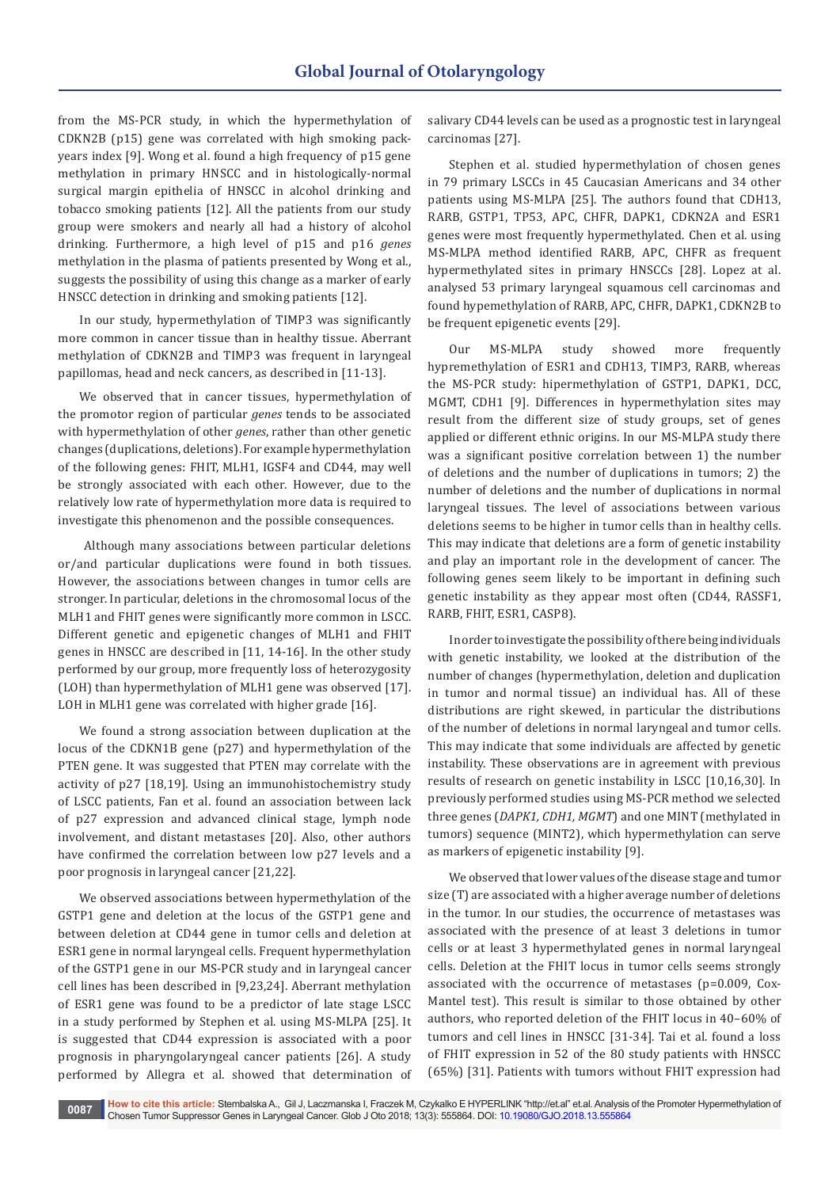from the MS-PCR study, in which the hypermethylation of CDKN2B (p15) gene was correlated with high smoking packyears index [9]. Wong et al. found a high frequency of p15 gene methylation in primary HNSCC and in histologically-normal surgical margin epithelia of HNSCC in alcohol drinking and tobacco smoking patients [12]. All the patients from our study group were smokers and nearly all had a history of alcohol drinking. Furthermore, a high level of p15 and p16 *genes* methylation in the plasma of patients presented by Wong et al., suggests the possibility of using this change as a marker of early HNSCC detection in drinking and smoking patients [12].

In our study, hypermethylation of TIMP3 was significantly more common in cancer tissue than in healthy tissue. Aberrant methylation of CDKN2B and TIMP3 was frequent in laryngeal papillomas, head and neck cancers, as described in [11-13].

We observed that in cancer tissues, hypermethylation of the promotor region of particular *genes* tends to be associated with hypermethylation of other *genes*, rather than other genetic changes (duplications, deletions). For example hypermethylation of the following genes: FHIT, MLH1, IGSF4 and CD44, may well be strongly associated with each other. However, due to the relatively low rate of hypermethylation more data is required to investigate this phenomenon and the possible consequences.

 Although many associations between particular deletions or/and particular duplications were found in both tissues. However, the associations between changes in tumor cells are stronger. In particular, deletions in the chromosomal locus of the MLH1 and FHIT genes were significantly more common in LSCC. Different genetic and epigenetic changes of MLH1 and FHIT genes in HNSCC are described in [11, 14-16]. In the other study performed by our group, more frequently loss of heterozygosity (LOH) than hypermethylation of MLH1 gene was observed [17]. LOH in MLH1 gene was correlated with higher grade [16].

We found a strong association between duplication at the locus of the CDKN1B gene (p27) and hypermethylation of the PTEN gene. It was suggested that PTEN may correlate with the activity of p27 [18,19]. Using an immunohistochemistry study of LSCC patients, Fan et al. found an association between lack of p27 expression and advanced clinical stage, lymph node involvement, and distant metastases [20]. Also, other authors have confirmed the correlation between low p27 levels and a poor prognosis in laryngeal cancer [21,22].

We observed associations between hypermethylation of the GSTP1 gene and deletion at the locus of the GSTP1 gene and between deletion at CD44 gene in tumor cells and deletion at ESR1 gene in normal laryngeal cells. Frequent hypermethylation of the GSTP1 gene in our MS-PCR study and in laryngeal cancer cell lines has been described in [9,23,24]. Aberrant methylation of ESR1 gene was found to be a predictor of late stage LSCC in a study performed by Stephen et al. using MS-MLPA [25]. It is suggested that CD44 expression is associated with a poor prognosis in pharyngolaryngeal cancer patients [26]. A study performed by Allegra et al. showed that determination of salivary CD44 levels can be used as a prognostic test in laryngeal carcinomas [27].

Stephen et al. studied hypermethylation of chosen genes in 79 primary LSCCs in 45 Caucasian Americans and 34 other patients using MS-MLPA [25]. The authors found that CDH13, RARB, GSTP1, TP53, APC, CHFR, DAPK1, CDKN2A and ESR1 genes were most frequently hypermethylated. Chen et al. using MS-MLPA method identified RARB, APC, CHFR as frequent hypermethylated sites in primary HNSCCs [28]. Lopez at al. analysed 53 primary laryngeal squamous cell carcinomas and found hypemethylation of RARB, APC, CHFR, DAPK1, CDKN2B to be frequent epigenetic events [29].

Our MS-MLPA study showed more frequently hypremethylation of ESR1 and CDH13, TIMP3, RARB, whereas the MS-PCR study: hipermethylation of GSTP1, DAPK1, DCC, MGMT, CDH1 [9]. Differences in hypermethylation sites may result from the different size of study groups, set of genes applied or different ethnic origins. In our MS-MLPA study there was a significant positive correlation between 1) the number of deletions and the number of duplications in tumors; 2) the number of deletions and the number of duplications in normal laryngeal tissues. The level of associations between various deletions seems to be higher in tumor cells than in healthy cells. This may indicate that deletions are a form of genetic instability and play an important role in the development of cancer. The following genes seem likely to be important in defining such genetic instability as they appear most often (CD44, RASSF1, RARB, FHIT, ESR1, CASP8).

In order to investigate the possibility of there being individuals with genetic instability, we looked at the distribution of the number of changes (hypermethylation, deletion and duplication in tumor and normal tissue) an individual has. All of these distributions are right skewed, in particular the distributions of the number of deletions in normal laryngeal and tumor cells. This may indicate that some individuals are affected by genetic instability. These observations are in agreement with previous results of research on genetic instability in LSCC [10,16,30]. In previously performed studies using MS-PCR method we selected three genes (*DAPK1, CDH1, MGMT*) and one MINT (methylated in tumors) sequence (MINT2), which hypermethylation can serve as markers of epigenetic instability [9].

We observed that lower values of the disease stage and tumor size (T) are associated with a higher average number of deletions in the tumor. In our studies, the occurrence of metastases was associated with the presence of at least 3 deletions in tumor cells or at least 3 hypermethylated genes in normal laryngeal cells. Deletion at the FHIT locus in tumor cells seems strongly associated with the occurrence of metastases (p=0.009, Cox-Mantel test). This result is similar to those obtained by other authors, who reported deletion of the FHIT locus in 40–60% of tumors and cell lines in HNSCC [31-34]. Tai et al. found a loss of FHIT expression in 52 of the 80 study patients with HNSCC (65%) [31]. Patients with tumors without FHIT expression had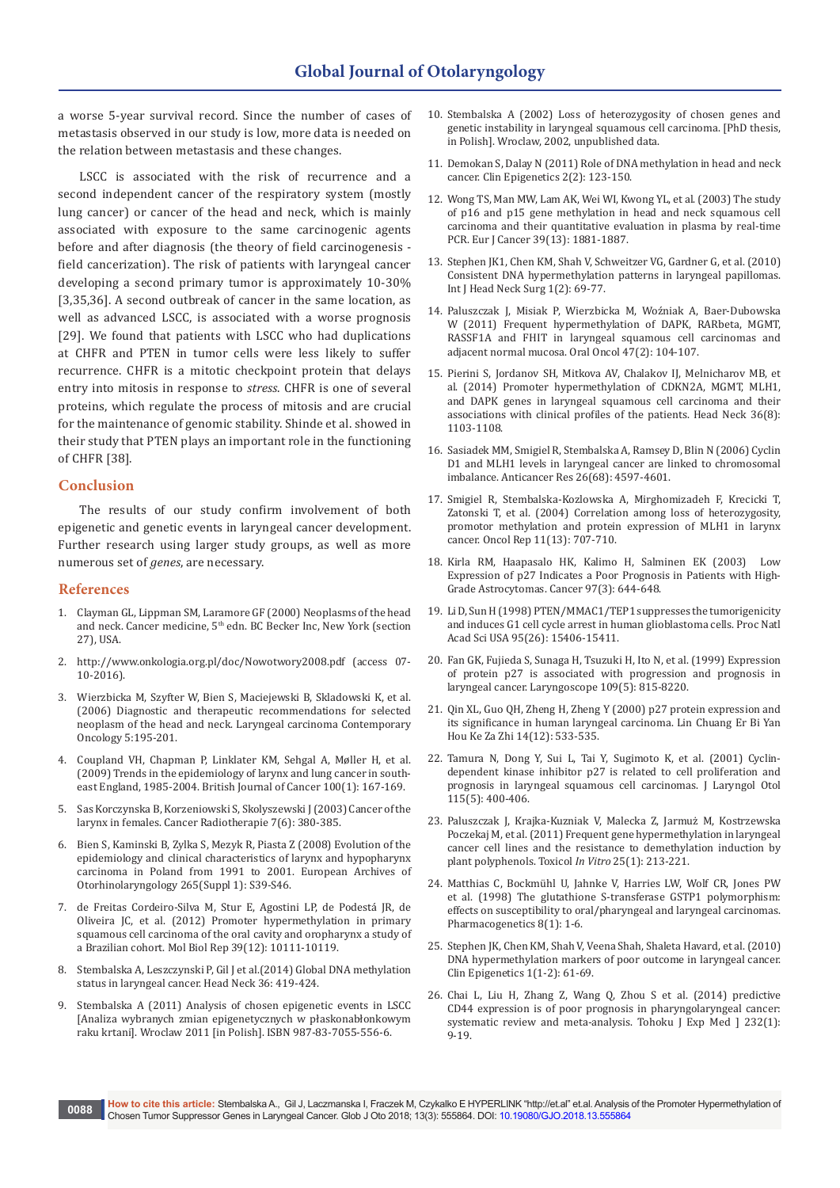a worse 5-year survival record. Since the number of cases of metastasis observed in our study is low, more data is needed on the relation between metastasis and these changes.

LSCC is associated with the risk of recurrence and a second independent cancer of the respiratory system (mostly lung cancer) or cancer of the head and neck, which is mainly associated with exposure to the same carcinogenic agents before and after diagnosis (the theory of field carcinogenesis field cancerization). The risk of patients with laryngeal cancer developing a second primary tumor is approximately 10-30% [3,35,36]. A second outbreak of cancer in the same location, as well as advanced LSCC, is associated with a worse prognosis [29]. We found that patients with LSCC who had duplications at CHFR and PTEN in tumor cells were less likely to suffer recurrence. CHFR is a mitotic checkpoint protein that delays entry into mitosis in response to *stress*. CHFR is one of several proteins, which regulate the process of mitosis and are crucial for the maintenance of genomic stability. Shinde et al. showed in their study that PTEN plays an important role in the functioning of CHFR [38].

## **Conclusion**

The results of our study confirm involvement of both epigenetic and genetic events in laryngeal cancer development. Further research using larger study groups, as well as more numerous set of *genes*, are necessary.

## **References**

- 1. Clayman GL, Lippman SM, Laramore GF (2000) Neoplasms of the head and neck. Cancer medicine, 5<sup>th</sup> edn. BC Becker Inc, New York (section 27), USA.
- 2. http://www.onkologia.org.pl/doc/Nowotwory2008.pdf (access 07- 10-2016).
- 3. [Wierzbicka M, Szyfter W, Bien S, Maciejewski B, Skladowski K, et al.](https://www.termedia.pl/Diagnostic-and-therapeutic-recommendations-for-selected-neoplasm-of-the-head-and-neck-Introduction,3,6256,0,1.html)  [\(2006\) Diagnostic and therapeutic recommendations for selected](https://www.termedia.pl/Diagnostic-and-therapeutic-recommendations-for-selected-neoplasm-of-the-head-and-neck-Introduction,3,6256,0,1.html)  [neoplasm of the head and neck. Laryngeal carcinoma Contemporary](https://www.termedia.pl/Diagnostic-and-therapeutic-recommendations-for-selected-neoplasm-of-the-head-and-neck-Introduction,3,6256,0,1.html)  [Oncology 5:195-201.](https://www.termedia.pl/Diagnostic-and-therapeutic-recommendations-for-selected-neoplasm-of-the-head-and-neck-Introduction,3,6256,0,1.html)
- 4. Coupland VH, Chapman P, [Linklater KM,](https://www.ncbi.nlm.nih.gov/pubmed/19018256) Sehgal A, Møller H, et al. [\(2009\) Trends in the epidemiology of larynx and lung](https://www.ncbi.nlm.nih.gov/pubmed/19018256) cancer in south[east England, 1985-2004. British Journal of Cancer](https://www.ncbi.nlm.nih.gov/pubmed/19018256) 100(1): 167-169.
- 5. Sas Korczynska [B, Korzeniowski S, Skolyszewski J \(2003\) Cancer](https://www.ncbi.nlm.nih.gov/pubmed/14725911) of the larynx in females. Cancer [Radiotherapie 7\(6\): 380-385.](https://www.ncbi.nlm.nih.gov/pubmed/14725911)
- 6. [Bien S, Kaminski B, Zylka S, Mezyk R, Piasta Z \(2008\) Evolution of the](https://www.ncbi.nlm.nih.gov/pubmed/17955255)  [epidemiology and clinical characteristics of larynx and hypopharynx](https://www.ncbi.nlm.nih.gov/pubmed/17955255)  [carcinoma in Poland from 1991 to 2001. European Archives of](https://www.ncbi.nlm.nih.gov/pubmed/17955255)  [Otorhinolaryngology 265\(Suppl 1\): S39-S46.](https://www.ncbi.nlm.nih.gov/pubmed/17955255)
- 7. [de Freitas Cordeiro-Silva M, Stur E, Agostini LP, de Podestá JR, de](https://www.ncbi.nlm.nih.gov/pubmed/22936053)  [Oliveira JC, et al. \(2012\) Promoter hypermethylation in primary](https://www.ncbi.nlm.nih.gov/pubmed/22936053)  [squamous cell carcinoma of the oral cavity and oropharynx a study of](https://www.ncbi.nlm.nih.gov/pubmed/22936053)  [a Brazilian cohort. Mol Biol Rep 39\(12\): 10111-10119.](https://www.ncbi.nlm.nih.gov/pubmed/22936053)
- 8. Stembalska A, Leszczynski P, Gil J et al.(2014) Global DNA methylation status in laryngeal cancer. Head Neck 36: 419-424.
- 9. Stembalska A (2011) Analysis of chosen epigenetic events in LSCC [Analiza wybranych zmian epigenetycznych w płaskonabłonkowym raku krtani]. Wroclaw 2011 [in Polish]. ISBN 987-83-7055-556-6.
- 10. Stembalska A (2002) Loss of heterozygosity of chosen genes and genetic instability in laryngeal squamous cell carcinoma. [PhD thesis, in Polish]. Wroclaw, 2002, unpublished data.
- 11. Demokan S, Dalay N (2011) [Role of DNA methylation in head and neck](https://www.ncbi.nlm.nih.gov/pubmed/22704334/)  [cancer. Clin Epigenetics 2\(2\): 123-150.](https://www.ncbi.nlm.nih.gov/pubmed/22704334/)
- 12. [Wong TS, Man MW, Lam AK, Wei WI, Kwong YL, et al. \(2003\) The study](https://www.ncbi.nlm.nih.gov/pubmed/12932666)  [of p16 and p15 gene methylation in head and neck squamous cell](https://www.ncbi.nlm.nih.gov/pubmed/12932666)  [carcinoma and their quantitative evaluation in plasma by real-time](https://www.ncbi.nlm.nih.gov/pubmed/12932666)  [PCR. Eur J Cancer 39\(13\): 1881-1887.](https://www.ncbi.nlm.nih.gov/pubmed/12932666)
- 13. [Stephen JK1, Chen KM, Shah V, Schweitzer VG, Gardner G, et al. \(2010\)](https://www.ncbi.nlm.nih.gov/pubmed/21603083)  [Consistent DNA hypermethylation patterns in laryngeal papillomas.](https://www.ncbi.nlm.nih.gov/pubmed/21603083)  [Int J Head Neck Surg 1\(2\): 69-77.](https://www.ncbi.nlm.nih.gov/pubmed/21603083)
- 14. [Paluszczak J, Misiak P, Wierzbicka M, Woź](https://www.ncbi.nlm.nih.gov/pubmed/21147548)niak A, Baer-Dubowska [W \(2011\) Frequent hypermethylation of DAPK, RARbeta, MGMT,](https://www.ncbi.nlm.nih.gov/pubmed/21147548)  [RASSF1A and FHIT in laryngeal squamous cell carcinomas and](https://www.ncbi.nlm.nih.gov/pubmed/21147548)  [adjacent normal mucosa. Oral Oncol 47\(2\): 104-107.](https://www.ncbi.nlm.nih.gov/pubmed/21147548)
- 15. [Pierini S, Jordanov SH, Mitkova AV, Chalakov IJ, Melnicharov MB, et](https://www.ncbi.nlm.nih.gov/pubmed/23804521)  [al. \(2014\) Promoter hypermethylation of CDKN2A, MGMT, MLH1,](https://www.ncbi.nlm.nih.gov/pubmed/23804521)  [and DAPK genes in laryngeal squamous cell carcinoma and their](https://www.ncbi.nlm.nih.gov/pubmed/23804521)  [associations with clinical profiles of the patients. Head Neck 36\(8\):](https://www.ncbi.nlm.nih.gov/pubmed/23804521)  [1103-1108.](https://www.ncbi.nlm.nih.gov/pubmed/23804521)
- 16. [Sasiadek MM, Smigiel R, Stembalska A, Ramsey D, Blin N \(2006\) Cyclin](https://www.ncbi.nlm.nih.gov/pubmed/17201183)  [D1 and MLH1 levels in laryngeal cancer are linked to chromosomal](https://www.ncbi.nlm.nih.gov/pubmed/17201183)  [imbalance. Anticancer Res 26\(68\): 4597-4601.](https://www.ncbi.nlm.nih.gov/pubmed/17201183)
- 17. [Smigiel R, Stembalska-Kozlowska A, Mirghomizadeh F, Krecicki T,](https://www.ncbi.nlm.nih.gov/pubmed/14767526)  [Zatonski T, et al. \(2004\) Correlation among loss of heterozygosity,](https://www.ncbi.nlm.nih.gov/pubmed/14767526)  [promotor methylation and protein expression of MLH1 in larynx](https://www.ncbi.nlm.nih.gov/pubmed/14767526)  [cancer. Oncol Rep 11\(13\): 707-710.](https://www.ncbi.nlm.nih.gov/pubmed/14767526)
- 18. [Kirla RM, Haapasalo HK, Kalimo H, Salminen EK \(2003\) Low](https://www.ncbi.nlm.nih.gov/pubmed/12548606)  [Expression of p27 Indicates a Poor Prognosis in Patients with High-](https://www.ncbi.nlm.nih.gov/pubmed/12548606)[Grade Astrocytomas. Cancer 97\(3\): 644-648.](https://www.ncbi.nlm.nih.gov/pubmed/12548606)
- 19. [Li D, Sun H \(1998\) PTEN/MMAC1/TEP1 suppresses the tumorigenicity](https://www.ncbi.nlm.nih.gov/pubmed/9860981)  [and induces G1 cell cycle arrest in human glioblastoma cells. Proc Natl](https://www.ncbi.nlm.nih.gov/pubmed/9860981)  [Acad Sci USA 95\(26\): 15406-15411.](https://www.ncbi.nlm.nih.gov/pubmed/9860981)
- 20. [Fan GK, Fujieda S, Sunaga H, Tsuzuki H, Ito N, et al. \(1999\) Expression](https://www.ncbi.nlm.nih.gov/pubmed/10334237)  [of protein p27 is associated with progression and prognosis in](https://www.ncbi.nlm.nih.gov/pubmed/10334237)  [laryngeal cancer. Laryngoscope 109\(5\): 815-8220.](https://www.ncbi.nlm.nih.gov/pubmed/10334237)
- 21. [Qin XL, Guo QH, Zheng H, Zheng Y \(2000\) p27 protein expression and](https://www.ncbi.nlm.nih.gov/pubmed/12563948)  [its significance in human laryngeal carcinoma. Lin Chuang Er Bi Yan](https://www.ncbi.nlm.nih.gov/pubmed/12563948)  [Hou Ke Za Zhi 14\(12\): 533-535.](https://www.ncbi.nlm.nih.gov/pubmed/12563948)
- 22. [Tamura N, Dong Y, Sui L, Tai Y, Sugimoto K, et al. \(2001\) Cyclin](https://www.ncbi.nlm.nih.gov/pubmed/11410133)[dependent kinase inhibitor p27 is related to cell proliferation and](https://www.ncbi.nlm.nih.gov/pubmed/11410133)  [prognosis in laryngeal squamous cell carcinomas. J Laryngol Otol](https://www.ncbi.nlm.nih.gov/pubmed/11410133)  [115\(5\): 400-406.](https://www.ncbi.nlm.nih.gov/pubmed/11410133)
- 23. [Paluszczak J, Krajka-Kuzniak V, Malecka Z,](https://www.ncbi.nlm.nih.gov/pubmed/21078381) Jarmuż M, Kostrzewska [Poczekaj M, et al. \(2011\) Frequent gene hypermethylation in laryngeal](https://www.ncbi.nlm.nih.gov/pubmed/21078381)  [cancer cell lines and the resistance to demethylation induction by](https://www.ncbi.nlm.nih.gov/pubmed/21078381)  [plant polyphenols. Toxicol](https://www.ncbi.nlm.nih.gov/pubmed/21078381) *In Vitro* 25(1): 213-221.
- 24. [Matthias C, Bockmühl U, Jahnke V, Harries LW, Wolf CR, Jones PW](https://www.ncbi.nlm.nih.gov/pubmed/9511175)  [et al. \(1998\) The glutathione S-transferase GSTP1 polymorphism:](https://www.ncbi.nlm.nih.gov/pubmed/9511175)  [effects on susceptibility to oral/pharyngeal and laryngeal carcinomas.](https://www.ncbi.nlm.nih.gov/pubmed/9511175)  [Pharmacogenetics 8\(1\): 1-6.](https://www.ncbi.nlm.nih.gov/pubmed/9511175)
- 25. [Stephen JK, Chen KM, Shah V, Veena Shah, Shaleta Havard, et al. \(2010\)](https://www.ncbi.nlm.nih.gov/pmc/articles/PMC3037188/)  [DNA hypermethylation markers of poor outcome in laryngeal cancer.](https://www.ncbi.nlm.nih.gov/pmc/articles/PMC3037188/)  [Clin Epigenetics 1\(1-2\): 61-69.](https://www.ncbi.nlm.nih.gov/pmc/articles/PMC3037188/)
- 26. [Chai L, Liu H, Zhang Z, Wang Q, Zhou S et al. \(2014\) predictive](https://www.ncbi.nlm.nih.gov/pubmed/24822267)  [CD44 expression is of poor prognosis in pharyngolaryngeal cancer:](https://www.ncbi.nlm.nih.gov/pubmed/24822267)  [systematic review and meta-analysis. Tohoku J Exp Med \] 232\(1\):](https://www.ncbi.nlm.nih.gov/pubmed/24822267)  [9-19.](https://www.ncbi.nlm.nih.gov/pubmed/24822267)